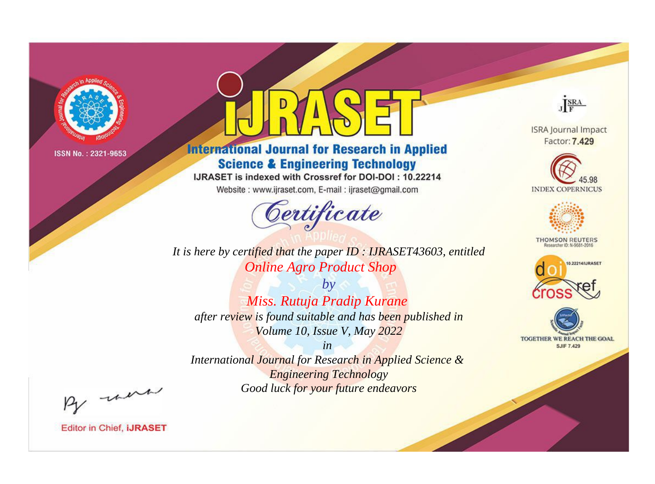

# **International Journal for Research in Applied Science & Engineering Technology**

IJRASET is indexed with Crossref for DOI-DOI: 10.22214

Website: www.ijraset.com, E-mail: ijraset@gmail.com



**ISRA Journal Impact** 

JERA

Factor: 7.429





**THOMSON REUTERS** 



TOGETHER WE REACH THE GOAL **SJIF 7.429** 

*It is here by certified that the paper ID : IJRASET43603, entitled Online Agro Product Shop*

*by Miss. Rutuja Pradip Kurane after review is found suitable and has been published in Volume 10, Issue V, May 2022*

*in* 

*International Journal for Research in Applied Science & Engineering Technology Good luck for your future endeavors*

By morn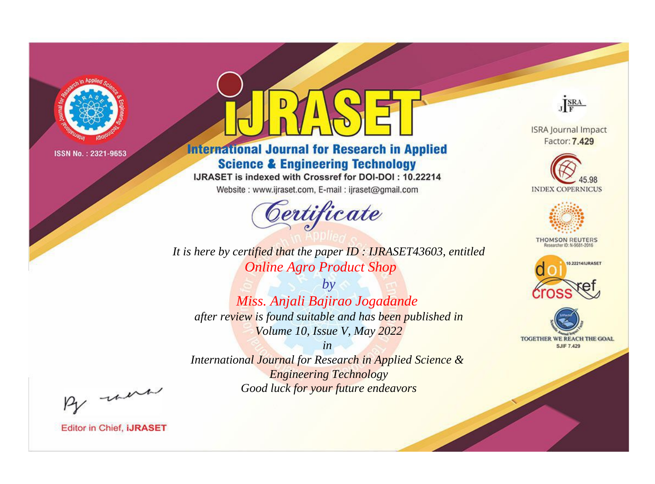

# **International Journal for Research in Applied Science & Engineering Technology**

IJRASET is indexed with Crossref for DOI-DOI: 10.22214

Website: www.ijraset.com, E-mail: ijraset@gmail.com



JERA **ISRA Journal Impact** 

Factor: 7.429





**THOMSON REUTERS** 



TOGETHER WE REACH THE GOAL **SJIF 7.429** 

*It is here by certified that the paper ID : IJRASET43603, entitled Online Agro Product Shop*

*by Miss. Anjali Bajirao Jogadande after review is found suitable and has been published in Volume 10, Issue V, May 2022*

*in* 

*International Journal for Research in Applied Science & Engineering Technology Good luck for your future endeavors*

By morn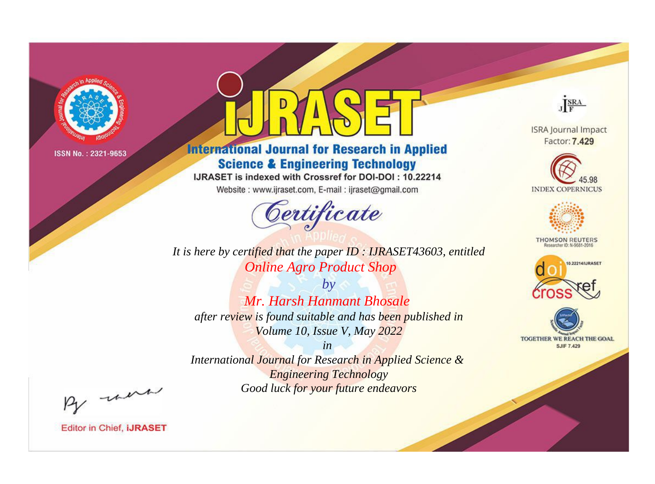

# **International Journal for Research in Applied Science & Engineering Technology**

IJRASET is indexed with Crossref for DOI-DOI: 10.22214

Website: www.ijraset.com, E-mail: ijraset@gmail.com



JERA

**ISRA Journal Impact** Factor: 7.429





**THOMSON REUTERS** 



TOGETHER WE REACH THE GOAL **SJIF 7.429** 

*It is here by certified that the paper ID : IJRASET43603, entitled Online Agro Product Shop*

*by Mr. Harsh Hanmant Bhosale after review is found suitable and has been published in Volume 10, Issue V, May 2022*

*in* 

*International Journal for Research in Applied Science & Engineering Technology Good luck for your future endeavors*

By morn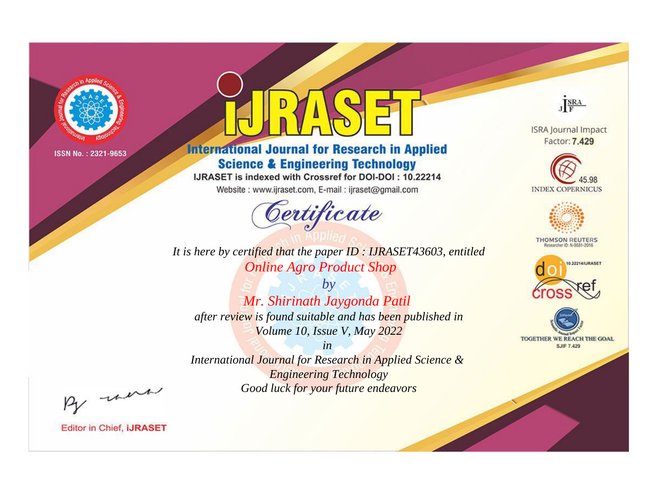

# **International Journal for Research in Applied Science & Engineering Technology**

IJRASET is indexed with Crossref for DOI-DOI: 10.22214

Website: www.ijraset.com, E-mail: ijraset@gmail.com



JERA **ISRA Journal Impact** 

Factor: 7.429





**THOMSON REUTERS** 



TOGETHER WE REACH THE GOAL **SJIF 7.429** 

*It is here by certified that the paper ID : IJRASET43603, entitled Online Agro Product Shop*

*by Mr. Shirinath Jaygonda Patil after review is found suitable and has been published in Volume 10, Issue V, May 2022*

*in* 

*International Journal for Research in Applied Science & Engineering Technology Good luck for your future endeavors*

By morn